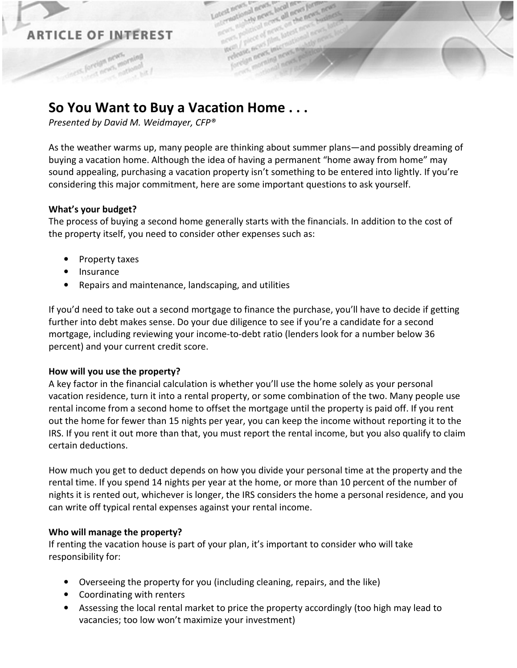## **ARTICLE OF INTEREST**

# **So You Want to Buy a Vacation Home . . .**

*Presented by David M. Weidmayer, CFP®* 

As the weather warms up, many people are thinking about summer plans—and possibly dreaming of buying a vacation home. Although the idea of having a permanent "home away from home" may sound appealing, purchasing a vacation property isn't something to be entered into lightly. If you're considering this major commitment, here are some important questions to ask yourself.

### **What's your budget?**

The process of buying a second home generally starts with the financials. In addition to the cost of the property itself, you need to consider other expenses such as:

- Property taxes
- **Insurance**
- Repairs and maintenance, landscaping, and utilities

If you'd need to take out a second mortgage to finance the purchase, you'll have to decide if getting further into debt makes sense. Do your due diligence to see if you're a candidate for a second mortgage, including reviewing your income-to-debt ratio (lenders look for a number below 36 percent) and your current credit score.

#### **How will you use the property?**

A key factor in the financial calculation is whether you'll use the home solely as your personal vacation residence, turn it into a rental property, or some combination of the two. Many people use rental income from a second home to offset the mortgage until the property is paid off. If you rent out the home for fewer than 15 nights per year, you can keep the income without reporting it to the IRS. If you rent it out more than that, you must report the rental income, but you also qualify to claim certain deductions.

How much you get to deduct depends on how you divide your personal time at the property and the rental time. If you spend 14 nights per year at the home, or more than 10 percent of the number of nights it is rented out, whichever is longer, the IRS considers the home a personal residence, and you can write off typical rental expenses against your rental income.

#### **Who will manage the property?**

If renting the vacation house is part of your plan, it's important to consider who will take responsibility for:

- Overseeing the property for you (including cleaning, repairs, and the like)
- Coordinating with renters
- Assessing the local rental market to price the property accordingly (too high may lead to vacancies; too low won't maximize your investment)